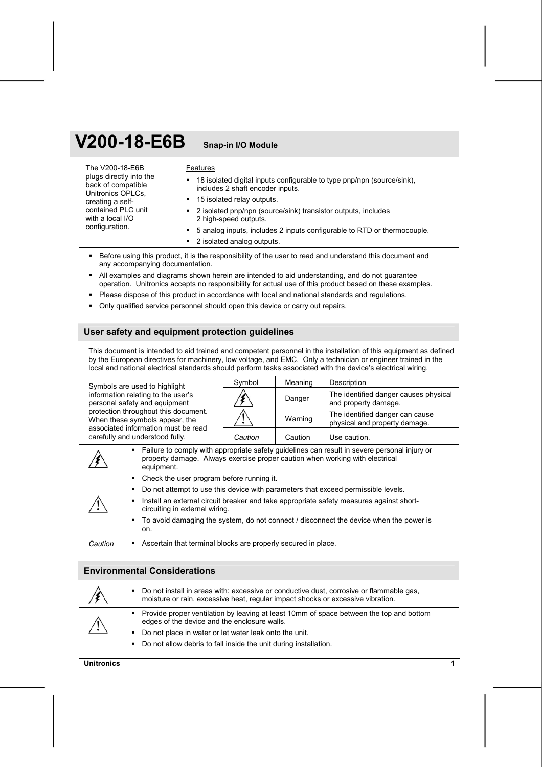# **V200-18-E6B Snap-in I/O Module**

| The V200-18-E6B<br>plugs directly into the<br>back of compatible<br>Unitronics OPLCs.<br>creating a self-<br>contained PLC unit<br>with a local I/O<br>configuration. | Features                                                                                                        |
|-----------------------------------------------------------------------------------------------------------------------------------------------------------------------|-----------------------------------------------------------------------------------------------------------------|
|                                                                                                                                                                       | 18 isolated digital inputs configurable to type pnp/npn (source/sink),<br>٠<br>includes 2 shaft encoder inputs. |
|                                                                                                                                                                       | • 15 isolated relay outputs.                                                                                    |
|                                                                                                                                                                       | 2 isolated pnp/npn (source/sink) transistor outputs, includes<br>2 high-speed outputs.                          |
|                                                                                                                                                                       | 5 analog inputs, includes 2 inputs configurable to RTD or thermocouple.                                         |
|                                                                                                                                                                       | • 2 isolated analog outputs.                                                                                    |

- Before using this product, it is the responsibility of the user to read and understand this document and any accompanying documentation.
- All examples and diagrams shown herein are intended to aid understanding, and do not guarantee operation. Unitronics accepts no responsibility for actual use of this product based on these examples.
- **Please dispose of this product in accordance with local and national standards and regulations.**
- Only qualified service personnel should open this device or carry out repairs.

#### **User safety and equipment protection guidelines**

This document is intended to aid trained and competent personnel in the installation of this equipment as defined by the European directives for machinery, low voltage, and EMC. Only a technician or engineer trained in the local and national electrical standards should perform tasks associated with the device's electrical wiring.

Symbols are used to highlight information relating to the user's personal safety and equipment protection throughout this document. When these symbols appear, the associated information must be read carefully and understood fully.

| Symbol  | Meaning | Description                                                      |
|---------|---------|------------------------------------------------------------------|
|         | Danger  | The identified danger causes physical<br>and property damage.    |
|         | Warning | The identified danger can cause<br>physical and property damage. |
| Caution | Caution | Use caution.                                                     |

|                                                                                                                                | • Failure to comply with appropriate safety guidelines can result in severe personal injury or<br>property damage. Always exercise proper caution when working with electrical<br>equipment. |  |  |  |
|--------------------------------------------------------------------------------------------------------------------------------|----------------------------------------------------------------------------------------------------------------------------------------------------------------------------------------------|--|--|--|
|                                                                                                                                | • Check the user program before running it.                                                                                                                                                  |  |  |  |
|                                                                                                                                | Do not attempt to use this device with parameters that exceed permissible levels.<br>$\mathbf{m}_{\mathrm{max}}$                                                                             |  |  |  |
| Install an external circuit breaker and take appropriate safety measures against short-<br>٠<br>circuiting in external wiring. |                                                                                                                                                                                              |  |  |  |
|                                                                                                                                | • To avoid damaging the system, do not connect / disconnect the device when the power is<br>on.                                                                                              |  |  |  |
| Caution                                                                                                                        | Ascertain that terminal blocks are properly secured in place.                                                                                                                                |  |  |  |

# **Environmental Considerations**

|             | • Do not install in areas with: excessive or conductive dust, corrosive or flammable gas,<br>moisture or rain, excessive heat, regular impact shocks or excessive vibration. |
|-------------|------------------------------------------------------------------------------------------------------------------------------------------------------------------------------|
| $\bigwedge$ | • Provide proper ventilation by leaving at least 10mm of space between the top and bottom<br>edges of the device and the enclosure walls.                                    |
|             | • Do not place in water or let water leak onto the unit.                                                                                                                     |
|             | • Do not allow debris to fall inside the unit during installation.                                                                                                           |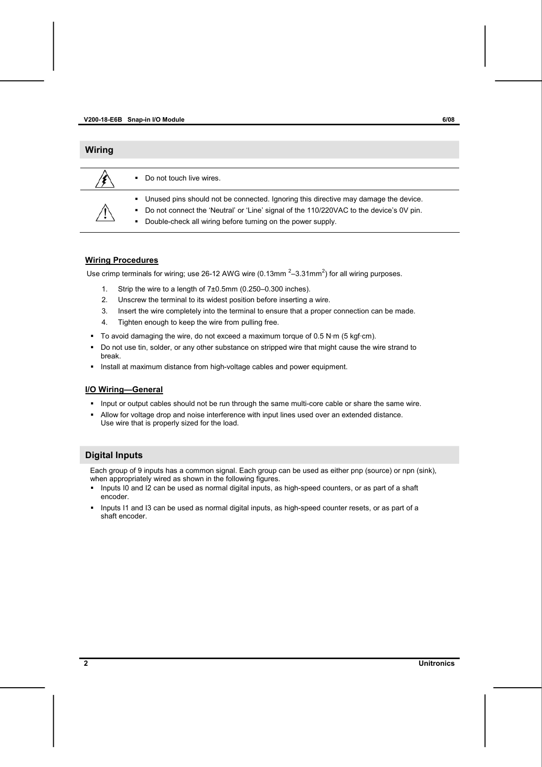| <b>Wiring</b>        |                                                                                                                                                                                                                                                                      |
|----------------------|----------------------------------------------------------------------------------------------------------------------------------------------------------------------------------------------------------------------------------------------------------------------|
|                      | Do not touch live wires.<br>$\blacksquare$                                                                                                                                                                                                                           |
| $\ddot{\phantom{1}}$ | . Unused pins should not be connected. Ignoring this directive may damage the device.<br>Do not connect the 'Neutral' or 'Line' signal of the 110/220VAC to the device's 0V pin.<br>$\mathbf{m}$<br>Double-check all wiring before turning on the power supply.<br>٠ |

#### **Wiring Procedures**

Use crimp terminals for wiring; use 26-12 AWG wire (0.13mm  $2-3.31$ mm<sup>2</sup>) for all wiring purposes.

- 1. Strip the wire to a length of 7±0.5mm (0.250–0.300 inches).
- 2. Unscrew the terminal to its widest position before inserting a wire.
- 3. Insert the wire completely into the terminal to ensure that a proper connection can be made.
- 4. Tighten enough to keep the wire from pulling free.
- To avoid damaging the wire, do not exceed a maximum torque of  $0.5$  N·m (5 kgf·cm).
- Do not use tin, solder, or any other substance on stripped wire that might cause the wire strand to break.
- **Install at maximum distance from high-voltage cables and power equipment.**

#### **I/O Wiring—General**

- Input or output cables should not be run through the same multi-core cable or share the same wire.
- Allow for voltage drop and noise interference with input lines used over an extended distance. Use wire that is properly sized for the load.

#### **Digital Inputs**

Each group of 9 inputs has a common signal. Each group can be used as either pnp (source) or npn (sink), when appropriately wired as shown in the following figures.

- Inputs I0 and I2 can be used as normal digital inputs, as high-speed counters, or as part of a shaft encoder.
- Inputs I1 and I3 can be used as normal digital inputs, as high-speed counter resets, or as part of a shaft encoder.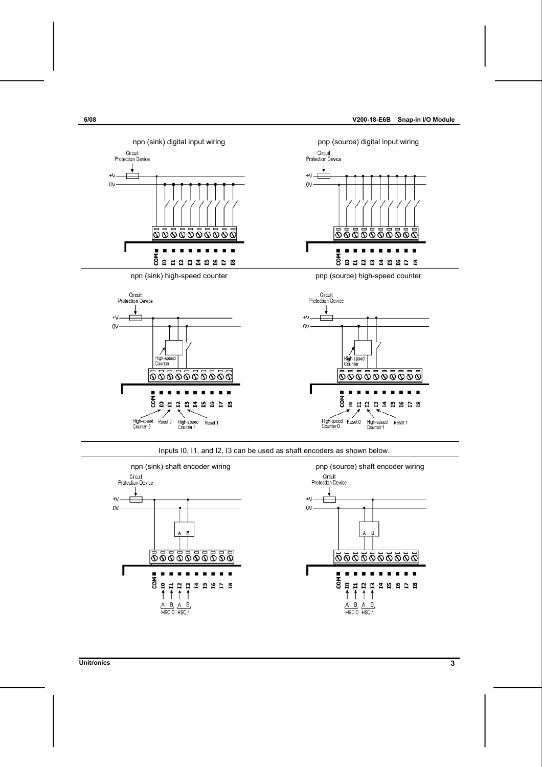

Inputs I0, I1, and I2, I3 can be used as shaft encoders as shown below.



#### **Unitronics 3**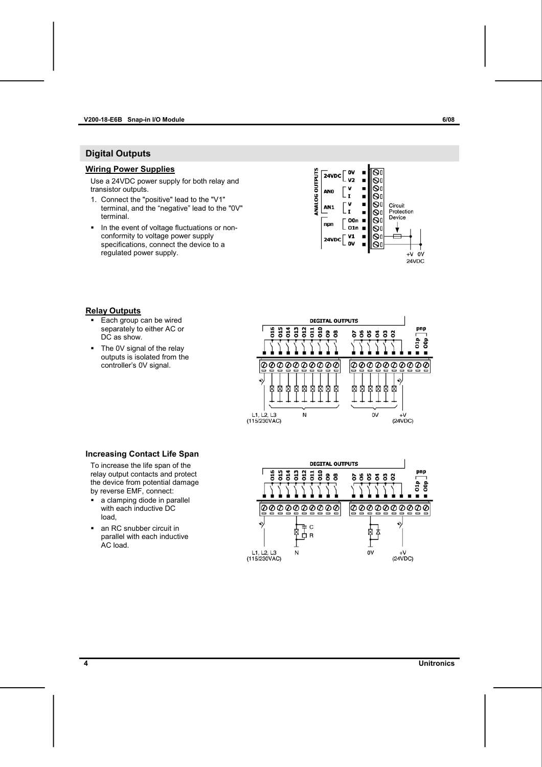#### <span id="page-3-0"></span>**V200-18-E6B Snap-in I/O Module 6/08**

# **Digital Outputs**

#### **Wiring Power Supplies**

Use a 24VDC power supply for both relay and transistor outputs.

- 1. Connect the "positive" lead to the "V1" terminal, and the "negative" lead to the "0V" terminal.
- In the event of voltage fluctuations or nonconformity to voltage power supply specifications, connect the device to a regulated power supply.



### **Relay Outputs**

- **Each group can be wired** separately to either AC or DC as show.
- The 0V signal of the relay outputs is isolated from the controller's 0V signal.



#### **Increasing Contact Life Span**

To increase the life span of the relay output contacts and protect the device from potential damage by reverse EMF, connect:

- a clamping diode in parallel with each inductive DC load,
- an RC snubber circuit in parallel with each inductive AC load.

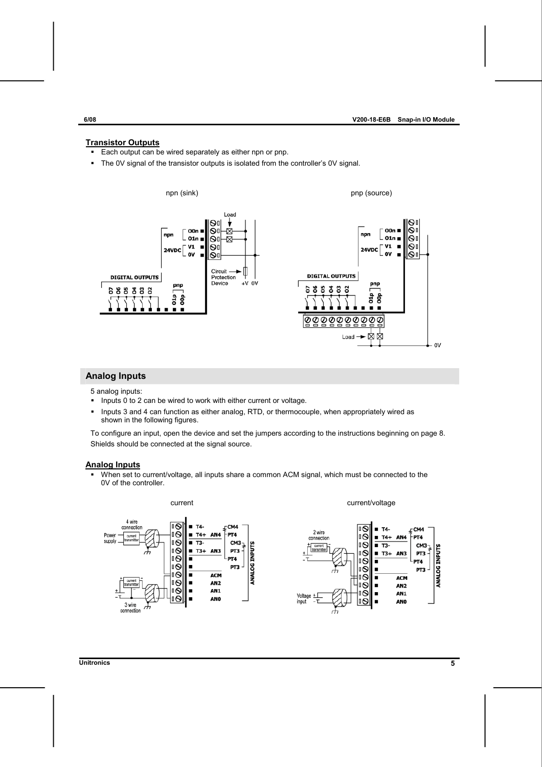#### **Transistor Outputs**

- **Each output can be wired separately as either npn or pnp.**
- The 0V signal of the transistor outputs is isolated from the controller's 0V signal.



### **Analog Inputs**

5 analog inputs:

- **Inputs 0 to 2 can be wired to work with either current or voltage.**
- Inputs 3 and 4 can function as either analog, RTD, or thermocouple, when appropriately wired as shown in the following figures.

To configure an input, open the device and set the jumpers according to the instructions beginning on page [8.](#page-7-0) Shields should be connected at the signal source.

#### **Analog Inputs**

 When set to current/voltage, all inputs share a common ACM signal, which must be connected to the 0V of the controller.



**Unitronics 5**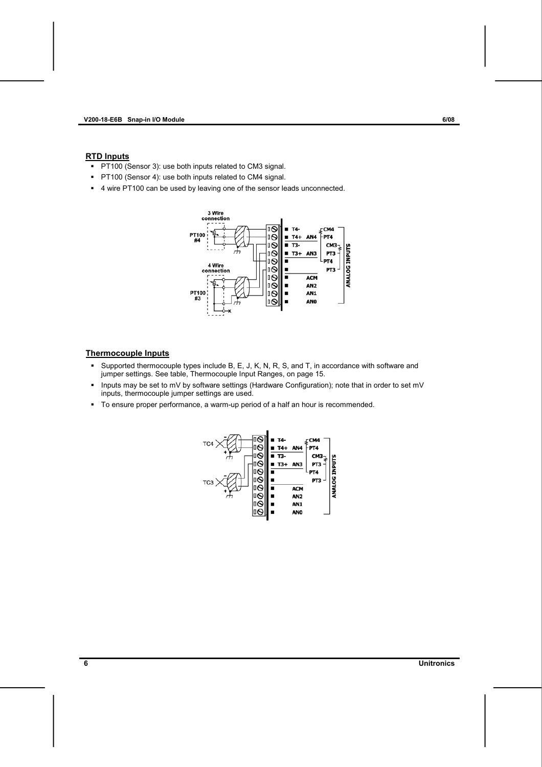#### **RTD Inputs**

- **PT100 (Sensor 3): use both inputs related to CM3 signal.**
- PT100 (Sensor 4): use both inputs related to CM4 signal.
- 4 wire PT100 can be used by leaving one of the sensor leads unconnected.



### **Thermocouple Inputs**

- Supported thermocouple types include B, E, J, K, N, R, S, and T, in accordance with software and jumper settings. See table, Thermocouple Input Ranges, on page [15.](#page-14-0)
- Inputs may be set to mV by software settings (Hardware Configuration); note that in order to set mV inputs, thermocouple jumper settings are used.
- To ensure proper performance, a warm-up period of a half an hour is recommended.

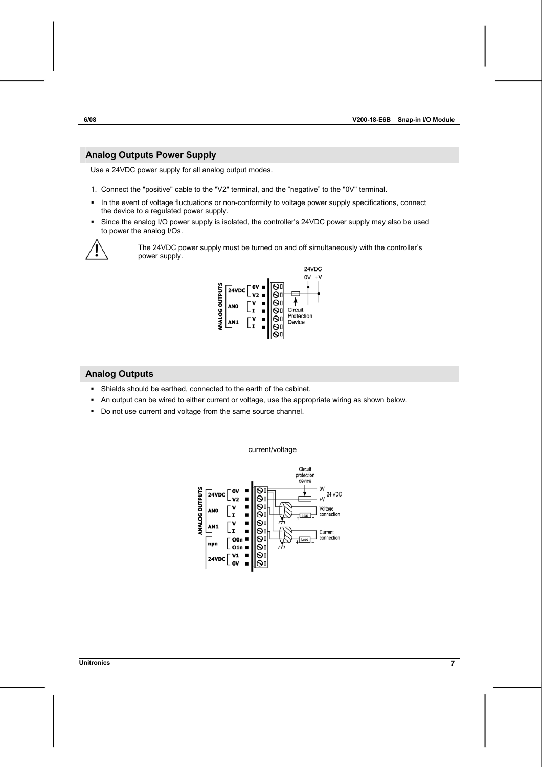### **Analog Outputs Power Supply**

Use a 24VDC power supply for all analog output modes.

- 1. Connect the "positive" cable to the "V2" terminal, and the "negative" to the "0V" terminal.
- In the event of voltage fluctuations or non-conformity to voltage power supply specifications, connect the device to a regulated power supply.
- Since the analog I/O power supply is isolated, the controller's 24VDC power supply may also be used to power the analog I/Os.

The 24VDC power supply must be turned on and off simultaneously with the controller's power supply.



### **Analog Outputs**

- Shields should be earthed, connected to the earth of the cabinet.
- An output can be wired to either current or voltage, use the appropriate wiring as shown below.
- Do not use current and voltage from the same source channel.



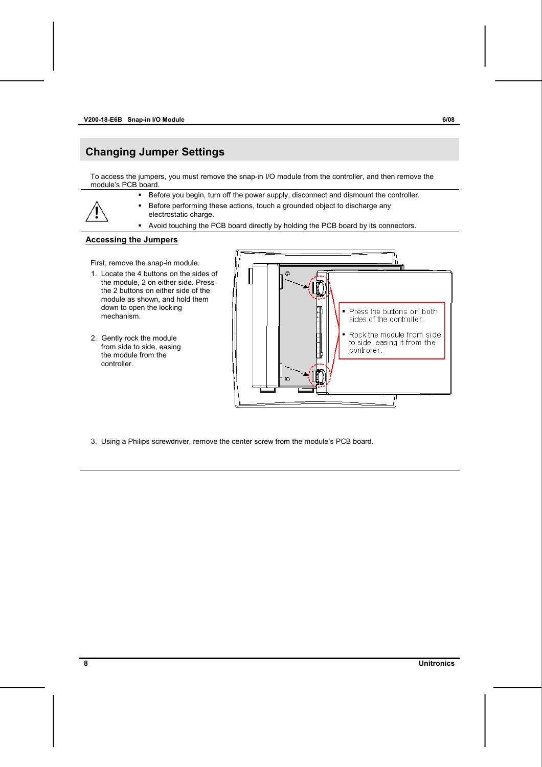# <span id="page-7-0"></span>**Changing Jumper Settings**

To access the jumpers, you must remove the snap-in I/O module from the controller, and then remove the module's PCB board.

- Before you begin, turn off the power supply, disconnect and dismount the controller.
- Before performing these actions, touch a grounded object to discharge any electrostatic charge.
	- Avoid touching the PCB board directly by holding the PCB board by its connectors.

#### **Accessing the Jumpers**

First, remove the snap-in module.

- 1. Locate the 4 buttons on the sides of the module, 2 on either side. Press the 2 buttons on either side of the module as shown, and hold them down to open the locking mechanism.
- 2. Gently rock the module from side to side, easing the module from the controller.



3. Using a Philips screwdriver, remove the center screw from the module's PCB board.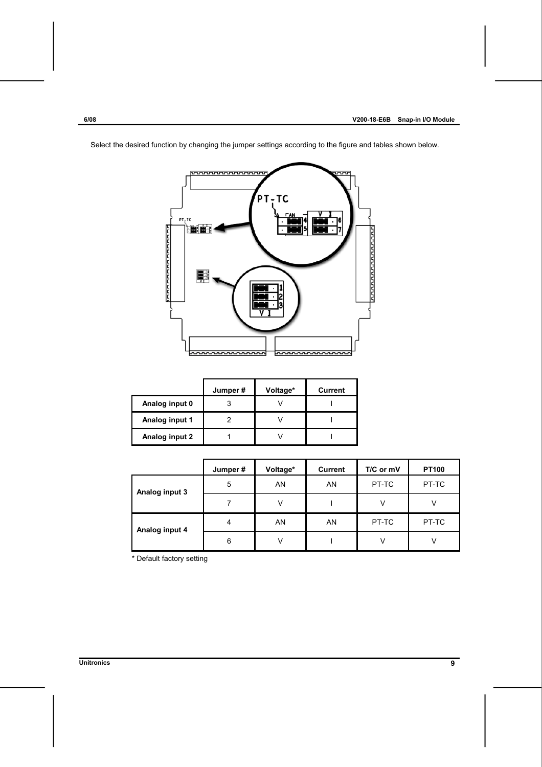

Select the desired function by changing the jumper settings according to the figure and tables shown below.

|                | Jumper# | Voltage* | Current |
|----------------|---------|----------|---------|
| Analog input 0 |         |          |         |
| Analog input 1 |         |          |         |
| Analog input 2 |         |          |         |

|                | Jumper# | Voltage* | <b>Current</b> | T/C or mV | <b>PT100</b> |
|----------------|---------|----------|----------------|-----------|--------------|
| Analog input 3 | 5       | AN       | AN             | PT-TC     | PT-TC        |
|                |         | v        |                |           |              |
| Analog input 4 | 4       | AN       | AN             | PT-TC     | PT-TC        |
|                | 6       | v        |                |           |              |

\* Default factory setting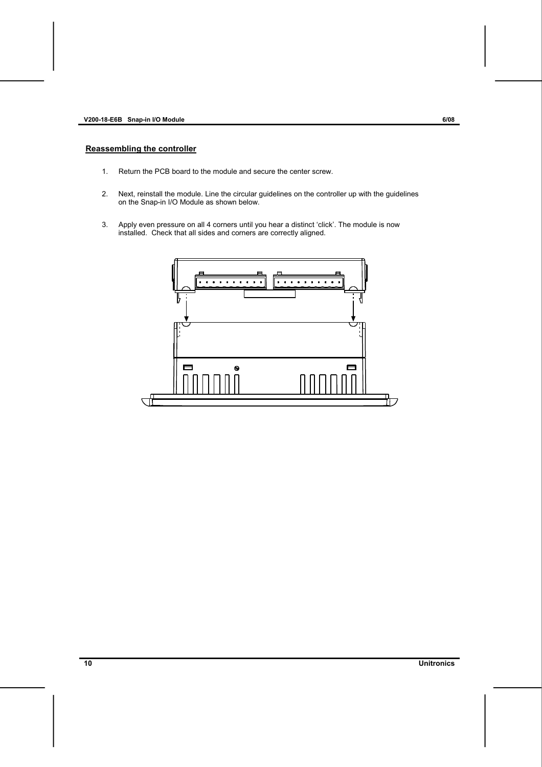- 1. Return the PCB board to the module and secure the center screw.
- 2. Next, reinstall the module. Line the circular guidelines on the controller up with the guidelines on the Snap-in I/O Module as shown below.
- 3. Apply even pressure on all 4 corners until you hear a distinct 'click'. The module is now installed. Check that all sides and corners are correctly aligned.

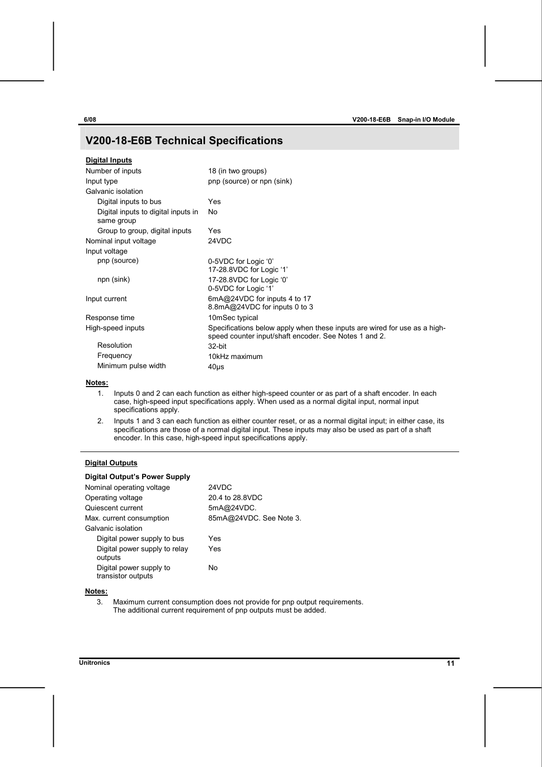# **V200-18-E6B Technical Specifications**

| <b>Digital Inputs</b>                             |                                                                                                                                    |
|---------------------------------------------------|------------------------------------------------------------------------------------------------------------------------------------|
| Number of inputs                                  | 18 (in two groups)                                                                                                                 |
| Input type                                        | pnp (source) or npn (sink)                                                                                                         |
| Galvanic isolation                                |                                                                                                                                    |
| Digital inputs to bus                             | Yes                                                                                                                                |
| Digital inputs to digital inputs in<br>same group | No                                                                                                                                 |
| Group to group, digital inputs                    | Yes                                                                                                                                |
| Nominal input voltage                             | 24VDC                                                                                                                              |
| Input voltage                                     |                                                                                                                                    |
| pnp (source)                                      | 0-5VDC for Logic '0'<br>17-28.8VDC for Logic '1'                                                                                   |
| npn (sink)                                        | 17-28.8VDC for Logic '0'<br>0-5VDC for Logic '1'                                                                                   |
| Input current                                     | 6mA@24VDC for inputs 4 to 17<br>8.8mA@24VDC for inputs 0 to 3                                                                      |
| Response time                                     | 10mSec typical                                                                                                                     |
| High-speed inputs                                 | Specifications below apply when these inputs are wired for use as a high-<br>speed counter input/shaft encoder. See Notes 1 and 2. |
| Resolution                                        | 32-bit                                                                                                                             |
| Frequency                                         | 10kHz maximum                                                                                                                      |
| Minimum pulse width                               | 40 <sub>µ</sub>                                                                                                                    |

#### **Notes:**

- 1. Inputs 0 and 2 can each function as either high-speed counter or as part of a shaft encoder. In each case, high-speed input specifications apply. When used as a normal digital input, normal input specifications apply.
- 2. Inputs 1 and 3 can each function as either counter reset, or as a normal digital input; in either case, its specifications are those of a normal digital input. These inputs may also be used as part of a shaft encoder. In this case, high-speed input specifications apply.

#### **Digital Outputs**

### **Digital Output's Power Supply**

| Nominal operating voltage                     | 24VDC                   |
|-----------------------------------------------|-------------------------|
| Operating voltage                             | 20.4 to 28.8VDC         |
| Quiescent current                             | 5mA@24VDC.              |
| Max. current consumption                      | 85mA@24VDC. See Note 3. |
| Galvanic isolation                            |                         |
| Digital power supply to bus                   | Yes                     |
| Digital power supply to relay<br>outputs      | Yes                     |
| Digital power supply to<br>transistor outputs | No                      |

#### **Notes:**

3. Maximum current consumption does not provide for pnp output requirements. The additional current requirement of pnp outputs must be added.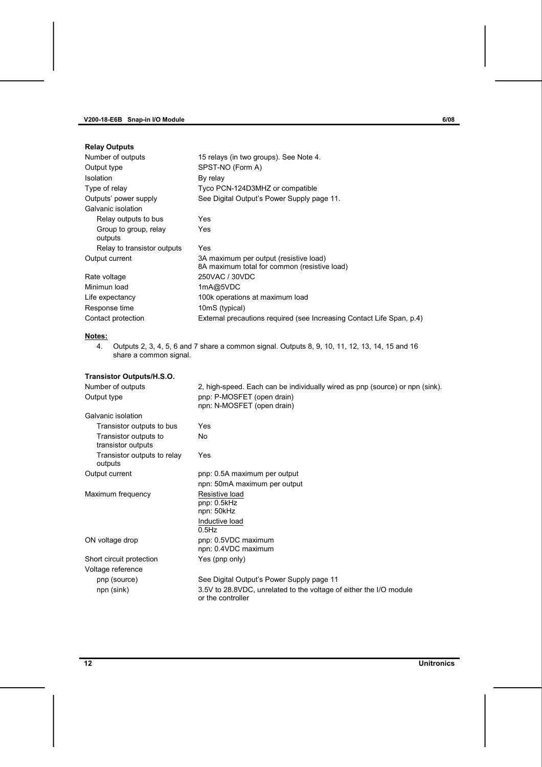| <b>Relay Outputs</b>             |                                                                                        |
|----------------------------------|----------------------------------------------------------------------------------------|
| Number of outputs                | 15 relays (in two groups). See Note 4.                                                 |
| Output type                      | SPST-NO (Form A)                                                                       |
| <b>Isolation</b>                 | By relay                                                                               |
| Type of relay                    | Tyco PCN-124D3MHZ or compatible                                                        |
| Outputs' power supply            | See Digital Output's Power Supply page 11.                                             |
| Galvanic isolation               |                                                                                        |
| Relay outputs to bus             | Yes                                                                                    |
| Group to group, relay<br>outputs | Yes                                                                                    |
| Relay to transistor outputs      | Yes                                                                                    |
| Output current                   | 3A maximum per output (resistive load)<br>8A maximum total for common (resistive load) |
| Rate voltage                     | 250VAC / 30VDC                                                                         |
| Minimun load                     | 1mA@5VDC                                                                               |
| Life expectancy                  | 100k operations at maximum load                                                        |
| Response time                    | 10mS (typical)                                                                         |
| Contact protection               | External precautions required (see Increasing Contact Life Span, p.4)                  |

# **Notes:**

4. Outputs 2, 3, 4, 5, 6 and 7 share a common signal. Outputs 8, 9, 10, 11, 12, 13, 14, 15 and 16 share a common signal.

## **Transistor Outputs/H.S.O.**

| Number of outputs<br>Output type            | 2, high-speed. Each can be individually wired as pnp (source) or npn (sink).<br>pnp: P-MOSFET (open drain) |  |
|---------------------------------------------|------------------------------------------------------------------------------------------------------------|--|
|                                             | npn: N-MOSFET (open drain)                                                                                 |  |
| Galvanic isolation                          |                                                                                                            |  |
| Transistor outputs to bus                   | Yes                                                                                                        |  |
| Transistor outputs to<br>transistor outputs | No                                                                                                         |  |
| Transistor outputs to relay<br>outputs      | Yes                                                                                                        |  |
| Output current                              | pnp: 0.5A maximum per output                                                                               |  |
|                                             | npn: 50mA maximum per output                                                                               |  |
| Maximum frequency                           | Resistive load<br>pnp: 0.5kHz                                                                              |  |
|                                             | npn: 50kHz                                                                                                 |  |
|                                             | Inductive load<br>$0.5$ Hz                                                                                 |  |
| ON voltage drop                             | pnp: 0.5VDC maximum<br>npn: 0.4VDC maximum                                                                 |  |
| Short circuit protection                    | Yes (pnp only)                                                                                             |  |
| Voltage reference                           |                                                                                                            |  |
| pnp (source)                                | See Digital Output's Power Supply page 11                                                                  |  |
| npn (sink)                                  | 3.5V to 28.8VDC, unrelated to the voltage of either the I/O module<br>or the controller                    |  |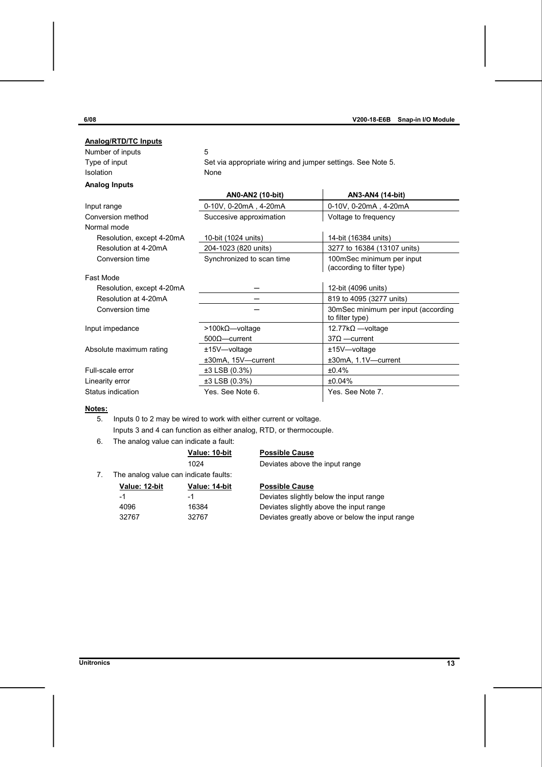| <b>Analog/RTD/TC Inputs</b> |                                                             |                                                         |  |
|-----------------------------|-------------------------------------------------------------|---------------------------------------------------------|--|
| Number of inputs            | 5                                                           |                                                         |  |
| Type of input               | Set via appropriate wiring and jumper settings. See Note 5. |                                                         |  |
| Isolation                   | <b>None</b>                                                 |                                                         |  |
| <b>Analog Inputs</b>        |                                                             |                                                         |  |
|                             | AN0-AN2 (10-bit)                                            | AN3-AN4 (14-bit)                                        |  |
| Input range                 | 0-10V, 0-20mA, 4-20mA                                       | 0-10V, 0-20mA, 4-20mA                                   |  |
| Conversion method           | Succesive approximation                                     | Voltage to frequency                                    |  |
| Normal mode                 |                                                             |                                                         |  |
| Resolution, except 4-20mA   | 10-bit (1024 units)                                         | 14-bit (16384 units)                                    |  |
| Resolution at 4-20mA        | 204-1023 (820 units)                                        | 3277 to 16384 (13107 units)                             |  |
| Conversion time             | Synchronized to scan time                                   | 100mSec minimum per input<br>(according to filter type) |  |
| Fast Mode                   |                                                             |                                                         |  |
| Resolution, except 4-20mA   |                                                             | 12-bit (4096 units)                                     |  |
| Resolution at 4-20mA        |                                                             | 819 to 4095 (3277 units)                                |  |
| Conversion time             |                                                             | 30mSec minimum per input (according<br>to filter type)  |  |
| Input impedance             | $>100k\Omega$ -voltage                                      | 12.77kΩ -voltage                                        |  |
|                             | $500\Omega$ - current                                       | $37\Omega$ -current                                     |  |
| Absolute maximum rating     | ±15V-voltage                                                | ±15V—voltage                                            |  |
|                             | ±30mA, 15V-current                                          | ±30mA, 1.1V-current                                     |  |
| Full-scale error            | ±3 LSB (0.3%)                                               | ±0.4%                                                   |  |
| Linearity error             | ±3 LSB (0.3%)                                               | ±0.04%                                                  |  |
| Status indication           | Yes, See Note 6                                             | Yes. See Note 7.                                        |  |

### **Notes:**

5. Inputs 0 to 2 may be wired to work with either current or voltage.

Inputs 3 and 4 can function as either analog, RTD, or thermocouple.

6. The analog value can indicate a fault:

### **Value: 10-bit Possible Cause**

1024 Deviates above the input range

7. The analog value can indicate faults:

| Value: 12-bit | Value: 14-bit | <b>Possible Cause</b> |
|---------------|---------------|-----------------------|
| -1            | -1            | Deviates slightly     |
| 4096          | 16384         | Deviates slightly     |
| 20767         | 20767         | Doviatos aroatly      |

-1 -1 -1 -1 -1 Deviates slightly below the input range 4096 16384 Deviates slightly above the input range 32767 32767 Deviates greatly above or below the input range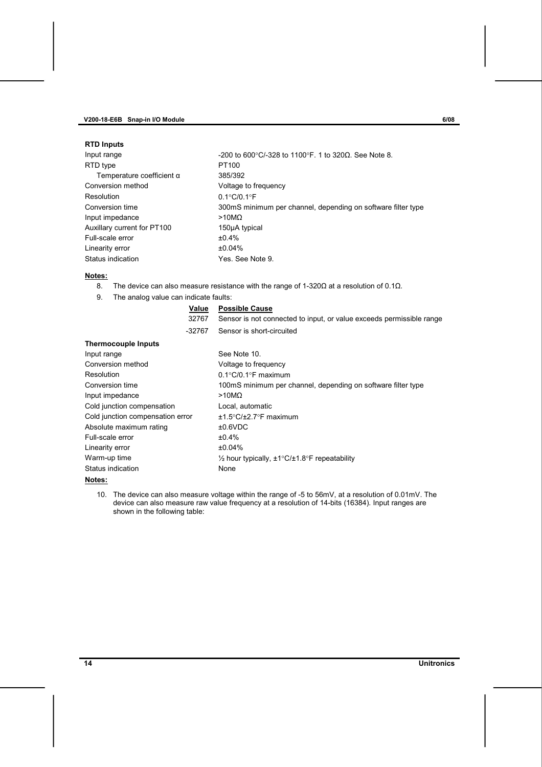#### **V200-18-E6B Snap-in I/O Module 6/08**

#### **RTD Inputs**

| Input range                      | -200 to 600°C/-328 to 1100°F. 1 to 320Ω. See Note 8.         |
|----------------------------------|--------------------------------------------------------------|
| RTD type                         | PT100                                                        |
| Temperature coefficient $\alpha$ | 385/392                                                      |
| Conversion method                | Voltage to frequency                                         |
| Resolution                       | $0.1^{\circ}$ C/0.1 $^{\circ}$ F                             |
| Conversion time                  | 300mS minimum per channel, depending on software filter type |
| Input impedance                  | >10M <sub>Ω</sub>                                            |
| Auxillary current for PT100      | 150µA typical                                                |
| Full-scale error                 | ±0.4%                                                        |
| Linearity error                  | ±0.04%                                                       |
| Status indication                | Yes. See Note 9.                                             |
|                                  |                                                              |

#### **Notes:**

- 8. The device can also measure resistance with the range of 1-320 $\Omega$  at a resolution of 0.1 $\Omega$ .
- 9. The analog value can indicate faults:

#### **Value Possible Cause**

32767 Sensor is not connected to input, or value exceeds permissible range -32767 Sensor is short-circuited

| <b>Thermocouple Inputs</b>       |                                                              |
|----------------------------------|--------------------------------------------------------------|
| Input range                      | See Note 10.                                                 |
| Conversion method                | Voltage to frequency                                         |
| Resolution                       | $0.1^{\circ}$ C/0.1 $^{\circ}$ F maximum                     |
| Conversion time                  | 100mS minimum per channel, depending on software filter type |
| Input impedance                  | $>10M\Omega$                                                 |
| Cold junction compensation       | Local, automatic                                             |
| Cold junction compensation error | $±1.5^{\circ}C/±2.7^{\circ}F$ maximum                        |
| Absolute maximum rating          | ±0.6VDC                                                      |
| Full-scale error                 | $±0.4\%$                                                     |
| Linearity error                  | ±0.04%                                                       |
| Warm-up time                     | 1/2 hour typically, ±1°C/±1.8°F repeatability                |
| Status indication                | None                                                         |

#### **Notes:**

10. The device can also measure voltage within the range of -5 to 56mV, at a resolution of 0.01mV. The device can also measure raw value frequency at a resolution of 14-bits (16384). Input ranges are shown in the following table: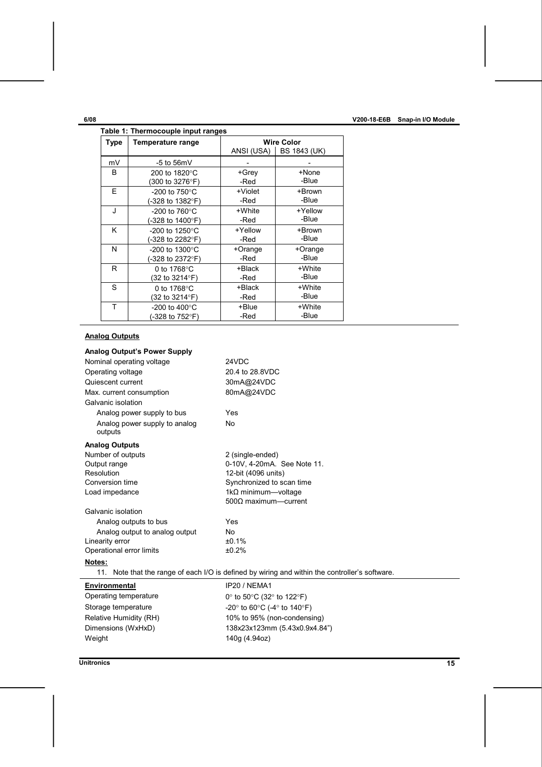<span id="page-14-0"></span>

| Table 1: Thermocouple input ranges |                             |                   |                           |  |
|------------------------------------|-----------------------------|-------------------|---------------------------|--|
| <b>Type</b>                        | Temperature range           | <b>Wire Color</b> |                           |  |
|                                    |                             |                   | ANSI (USA)   BS 1843 (UK) |  |
| mV                                 | $-5$ to $56mV$              |                   |                           |  |
| B                                  | 200 to 1820°C               | +Grev             | +None                     |  |
|                                    | (300 to 3276°F)             | -Red              | -Blue                     |  |
| F                                  | -200 to $750^{\circ}$ C     | +Violet           | +Brown                    |  |
|                                    | (-328 to 1382°F)            | -Red              | -Blue                     |  |
| J                                  | -200 to $760^{\circ}$ C     | +White            | +Yellow                   |  |
|                                    | (-328 to 1400°F)            | -Red              | -Blue                     |  |
| Κ                                  | $-200$ to 1250 $^{\circ}$ C | +Yellow           | +Brown                    |  |
|                                    | (-328 to 2282°F)            | -Red              | -Blue                     |  |
| N                                  | -200 to 1300 $^{\circ}$ C   | +Orange           | +Orange                   |  |
|                                    | (-328 to 2372°F)            | -Red              | -Blue                     |  |
| R                                  | 0 to $1768$ °C              | +Black            | +White                    |  |
|                                    | (32 to 3214°F)              | -Red              | -Blue                     |  |
| S                                  | 0 to 1768°C                 | +Black            | +White                    |  |
|                                    | (32 to 3214°F)              | -Red              | -Blue                     |  |
| T                                  | -200 to 400 $^{\circ}$ C    | +Blue             | +White                    |  |
|                                    | (-328 to 752°F)             | -Red              | -Blue                     |  |

# **Analog Outputs**

| <b>Analog Output's Power Supply</b>                                                            |                                                                   |  |  |
|------------------------------------------------------------------------------------------------|-------------------------------------------------------------------|--|--|
| Nominal operating voltage                                                                      | 24VDC                                                             |  |  |
| Operating voltage                                                                              | 20.4 to 28.8VDC                                                   |  |  |
| Quiescent current                                                                              | 30mA@24VDC                                                        |  |  |
| Max. current consumption                                                                       | 80mA@24VDC                                                        |  |  |
| Galvanic isolation                                                                             |                                                                   |  |  |
| Analog power supply to bus                                                                     | Yes                                                               |  |  |
| Analog power supply to analog<br>outputs                                                       | <b>No</b>                                                         |  |  |
| <b>Analog Outputs</b>                                                                          |                                                                   |  |  |
| Number of outputs                                                                              | 2 (single-ended)                                                  |  |  |
| Output range                                                                                   | 0-10V, 4-20mA. See Note 11.                                       |  |  |
| Resolution                                                                                     | 12-bit (4096 units)                                               |  |  |
| Conversion time                                                                                | Synchronized to scan time                                         |  |  |
| Load impedance                                                                                 | 1k $\Omega$ minimum—voltage                                       |  |  |
|                                                                                                | $500\Omega$ maximum-current                                       |  |  |
| Galvanic isolation                                                                             |                                                                   |  |  |
| Analog outputs to bus                                                                          | Yes                                                               |  |  |
| Analog output to analog output                                                                 | No                                                                |  |  |
| Linearity error                                                                                | ±0.1%                                                             |  |  |
| Operational error limits                                                                       | ±0.2%                                                             |  |  |
| Notes:                                                                                         |                                                                   |  |  |
| 11. Note that the range of each I/O is defined by wiring and within the controller's software. |                                                                   |  |  |
| Environmental                                                                                  | IP20 / NEMA1                                                      |  |  |
| Operating temperature                                                                          | 0° to 50°C (32° to 122°F)                                         |  |  |
| Storage temperature                                                                            | -20 $\degree$ to 60 $\degree$ C (-4 $\degree$ to 140 $\degree$ F) |  |  |
| Relative Humidity (RH)                                                                         | 10% to 95% (non-condensing)                                       |  |  |
| Dimensions (WxHxD)                                                                             | 138x23x123mm (5.43x0.9x4.84")                                     |  |  |
| Weight                                                                                         | 140g (4.94oz)                                                     |  |  |

**Unitronics 15**